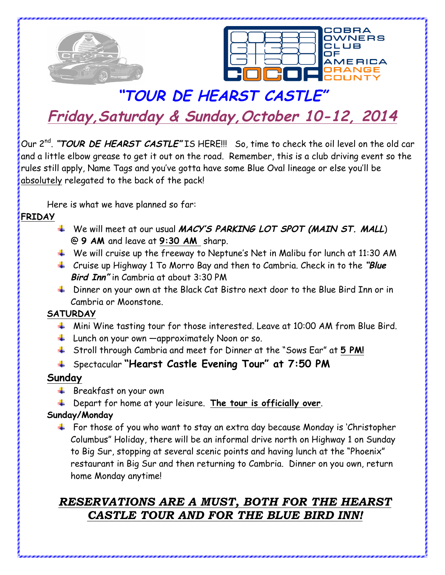



# **"TOUR DE HEARST CASTLE" Friday,Saturday & Sunday,October 10-12, 2014**

Our 2<sup>nd</sup>. "TOUR DE HEARST CASTLE" IS HERE!!! So, time to check the oil level on the old car and a little elbow grease to get it out on the road. Remember, this is a club driving event so the rules still apply, Name Tags and you've gotta have some Blue Oval lineage or else you'll be absolutely relegated to the back of the pack!

Here is what we have planned so far:

#### **FRIDAY**

- We will meet at our usual **MACY'S PARKING LOT SPOT (MAIN ST. MALL**) @ **9 AM** and leave at **9:30 AM** sharp.
- $\downarrow$  We will cruise up the freeway to Neptune's Net in Malibu for lunch at 11:30 AM
- Cruise up Highway 1 To Morro Bay and then to Cambria. Check in to the **"Blue Bird Inn"** in Cambria at about 3:30 PM
- ↓ Dinner on your own at the Black Cat Bistro next door to the Blue Bird Inn or in Cambria or Moonstone.

# **SATURDAY**

- $\ddotplus$  Mini Wine tasting tour for those interested. Leave at 10:00 AM from Blue Bird.
- $\frac{1}{2}$  Lunch on your own  $\frac{1}{2}$  approximately Noon or so.
- Stroll through Cambria and meet for Dinner at the "Sows Ear" at **5 PM!**

# Spectacular **"Hearst Castle Evening Tour" at 7:50 PM**

# **Sunday**

- $\frac{1}{2}$  Breakfast on your own
- Depart for home at your leisure. **The tour is officially over**.

# **Sunday/Monday**

 $\ddotplus$  For those of you who want to stay an extra day because Monday is 'Christopher Columbus" Holiday, there will be an informal drive north on Highway 1 on Sunday to Big Sur, stopping at several scenic points and having lunch at the "Phoenix" restaurant in Big Sur and then returning to Cambria. Dinner on you own, return home Monday anytime!

# *RESERVATIONS ARE A MUST, BOTH FOR THE HEARST CASTLE TOUR AND FOR THE BLUE BIRD INN!*